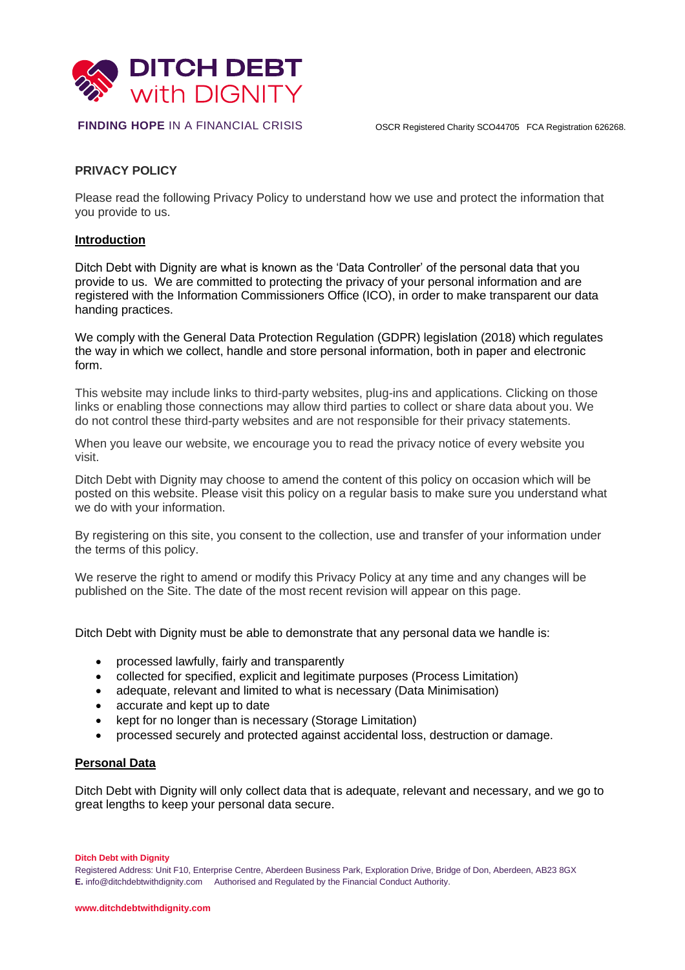

# **PRIVACY POLICY**

Please read the following Privacy Policy to understand how we use and protect the information that you provide to us.

#### **Introduction**

Ditch Debt with Dignity are what is known as the 'Data Controller' of the personal data that you provide to us. We are committed to protecting the privacy of your personal information and are registered with the Information Commissioners Office (ICO), in order to make transparent our data handing practices.

We comply with the General Data Protection Regulation (GDPR) legislation (2018) which regulates the way in which we collect, handle and store personal information, both in paper and electronic form.

This website may include links to third-party websites, plug-ins and applications. Clicking on those links or enabling those connections may allow third parties to collect or share data about you. We do not control these third-party websites and are not responsible for their privacy statements.

When you leave our website, we encourage you to read the privacy notice of every website you visit.

Ditch Debt with Dignity may choose to amend the content of this policy on occasion which will be posted on this website. Please visit this policy on a regular basis to make sure you understand what we do with your information.

By registering on this site, you consent to the collection, use and transfer of your information under the terms of this policy.

We reserve the right to amend or modify this Privacy Policy at any time and any changes will be published on the Site. The date of the most recent revision will appear on this page.

Ditch Debt with Dignity must be able to demonstrate that any personal data we handle is:

- processed lawfully, fairly and transparently
- collected for specified, explicit and legitimate purposes (Process Limitation)
- adequate, relevant and limited to what is necessary (Data Minimisation)
- accurate and kept up to date
- kept for no longer than is necessary (Storage Limitation)
- processed securely and protected against accidental loss, destruction or damage.

# **Personal Data**

Ditch Debt with Dignity will only collect data that is adequate, relevant and necessary, and we go to great lengths to keep your personal data secure.

**Ditch Debt with Dignity**

Registered Address: Unit F10, Enterprise Centre, Aberdeen Business Park, Exploration Drive, Bridge of Don, Aberdeen, AB23 8GX **E.** [info@ditchdebtwithdignity.com](mailto:info@ditchdebtwithdignity.com) Authorised and Regulated by the Financial Conduct Authority.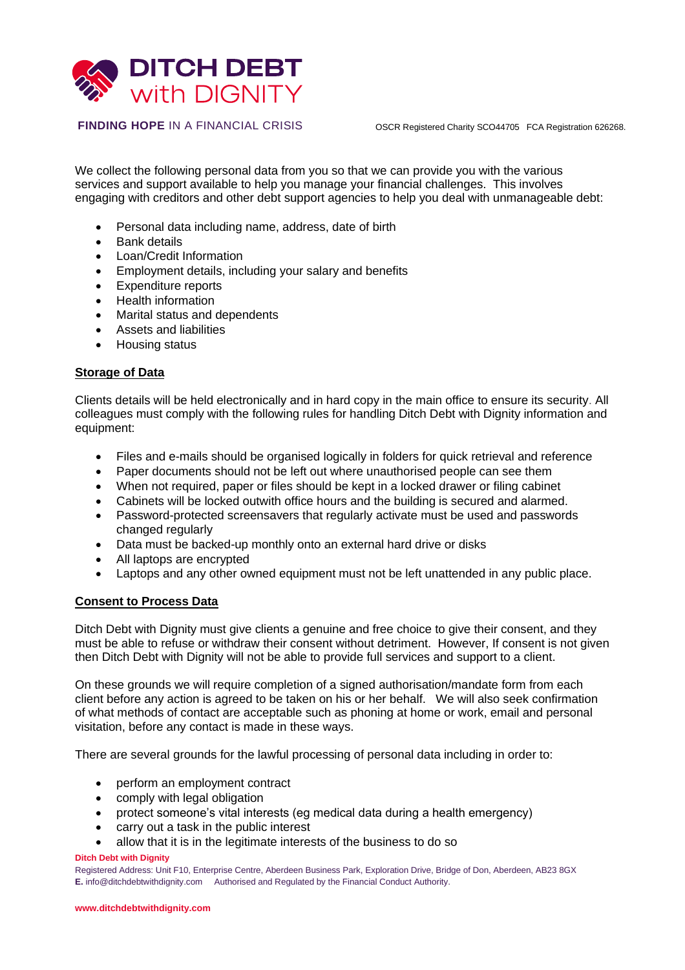

We collect the following personal data from you so that we can provide you with the various services and support available to help you manage your financial challenges. This involves engaging with creditors and other debt support agencies to help you deal with unmanageable debt:

- Personal data including name, address, date of birth
- Bank details
- Loan/Credit Information
- Employment details, including your salary and benefits
- Expenditure reports
- Health information
- Marital status and dependents
- Assets and liabilities
- Housing status

#### **Storage of Data**

Clients details will be held electronically and in hard copy in the main office to ensure its security. All colleagues must comply with the following rules for handling Ditch Debt with Dignity information and equipment:

- Files and e-mails should be organised logically in folders for quick retrieval and reference
- Paper documents should not be left out where unauthorised people can see them
- When not required, paper or files should be kept in a locked drawer or filing cabinet
- Cabinets will be locked outwith office hours and the building is secured and alarmed.
- Password-protected screensavers that regularly activate must be used and passwords changed regularly
- Data must be backed-up monthly onto an external hard drive or disks
- All laptops are encrypted
- Laptops and any other owned equipment must not be left unattended in any public place.

#### **Consent to Process Data**

Ditch Debt with Dignity must give clients a genuine and free choice to give their consent, and they must be able to refuse or withdraw their consent without detriment. However, If consent is not given then Ditch Debt with Dignity will not be able to provide full services and support to a client.

On these grounds we will require completion of a signed authorisation/mandate form from each client before any action is agreed to be taken on his or her behalf. We will also seek confirmation of what methods of contact are acceptable such as phoning at home or work, email and personal visitation, before any contact is made in these ways.

There are several grounds for the lawful processing of personal data including in order to:

- perform an employment contract
- comply with legal obligation
- protect someone's vital interests (eg medical data during a health emergency)
- carry out a task in the public interest
- allow that it is in the legitimate interests of the business to do so

#### **Ditch Debt with Dignity**

Registered Address: Unit F10, Enterprise Centre, Aberdeen Business Park, Exploration Drive, Bridge of Don, Aberdeen, AB23 8GX **E.** [info@ditchdebtwithdignity.com](mailto:info@ditchdebtwithdignity.com) Authorised and Regulated by the Financial Conduct Authority.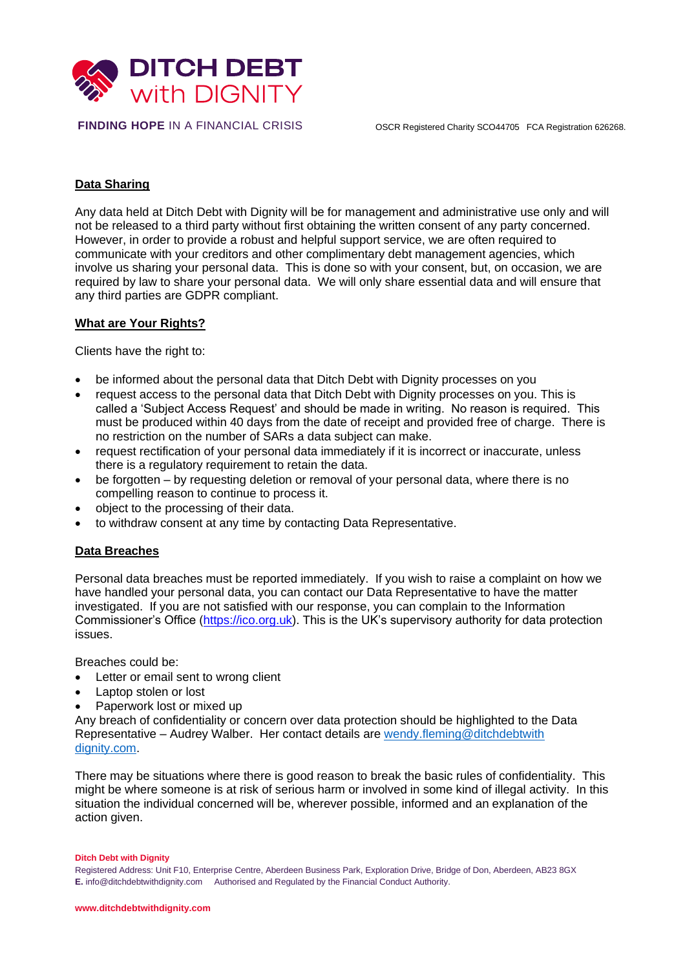

# **Data Sharing**

Any data held at Ditch Debt with Dignity will be for management and administrative use only and will not be released to a third party without first obtaining the written consent of any party concerned. However, in order to provide a robust and helpful support service, we are often required to communicate with your creditors and other complimentary debt management agencies, which involve us sharing your personal data. This is done so with your consent, but, on occasion, we are required by law to share your personal data. We will only share essential data and will ensure that any third parties are GDPR compliant.

#### **What are Your Rights?**

Clients have the right to:

- be informed about the personal data that Ditch Debt with Dignity processes on you
- request access to the personal data that Ditch Debt with Dignity processes on you. This is called a 'Subject Access Request' and should be made in writing. No reason is required. This must be produced within 40 days from the date of receipt and provided free of charge. There is no restriction on the number of SARs a data subject can make.
- request rectification of your personal data immediately if it is incorrect or inaccurate, unless there is a regulatory requirement to retain the data.
- be forgotten by requesting deletion or removal of your personal data, where there is no compelling reason to continue to process it.
- object to the processing of their data.
- to withdraw consent at any time by contacting Data Representative.

# **Data Breaches**

Personal data breaches must be reported immediately. If you wish to raise a complaint on how we have handled your personal data, you can contact our Data Representative to have the matter investigated. If you are not satisfied with our response, you can complain to the Information Commissioner's Office [\(https://ico.org.uk\)](https://ico.org.uk/). This is the UK's supervisory authority for data protection issues.

Breaches could be:

- Letter or email sent to wrong client
- Laptop stolen or lost
- Paperwork lost or mixed up

Any breach of confidentiality or concern over data protection should be highlighted to the Data Representative – Audrey Walber. Her contact details are [wendy.fleming@ditchdebtwith](mailto:wendy.fleming@ditchdebtwith%20dignity.com)  [dignity.com.](mailto:wendy.fleming@ditchdebtwith%20dignity.com)

There may be situations where there is good reason to break the basic rules of confidentiality. This might be where someone is at risk of serious harm or involved in some kind of illegal activity. In this situation the individual concerned will be, wherever possible, informed and an explanation of the action given.

#### **Ditch Debt with Dignity**

Registered Address: Unit F10, Enterprise Centre, Aberdeen Business Park, Exploration Drive, Bridge of Don, Aberdeen, AB23 8GX **E.** [info@ditchdebtwithdignity.com](mailto:info@ditchdebtwithdignity.com) Authorised and Regulated by the Financial Conduct Authority.